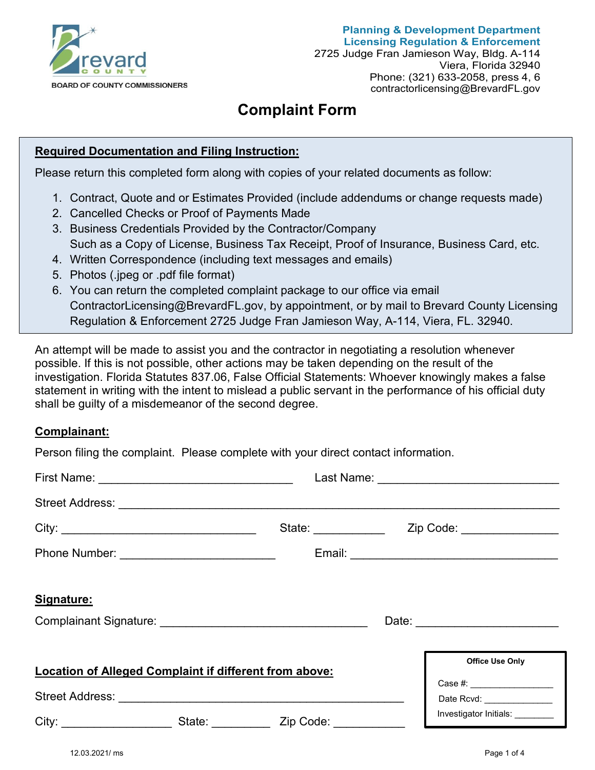

# **Complaint Form**

#### **Required Documentation and Filing Instruction:**

Please return this completed form along with copies of your related documents as follow:

- 1. Contract, Quote and or Estimates Provided (include addendums or change requests made)
- 2. Cancelled Checks or Proof of Payments Made
- 3. Business Credentials Provided by the Contractor/Company Such as a Copy of License, Business Tax Receipt, Proof of Insurance, Business Card, etc.
- 4. Written Correspondence (including text messages and emails)
- 5. Photos (.jpeg or .pdf file format)
- 6. You can return the completed complaint package to our office via email ContractorLicensing@BrevardFL.gov, by appointment, or by mail to Brevard County Licensing Regulation & Enforcement 2725 Judge Fran Jamieson Way, A-114, Viera, FL. 32940.

An attempt will be made to assist you and the contractor in negotiating a resolution whenever possible. If this is not possible, other actions may be taken depending on the result of the investigation. Florida Statutes 837.06, False Official Statements: Whoever knowingly makes a false statement in writing with the intent to mislead a public servant in the performance of his official duty shall be guilty of a misdemeanor of the second degree.

#### **Complainant:**

Person filing the complaint. Please complete with your direct contact information.

| Street Address: <u>Communications</u>                                            |                                                         |                                 |
|----------------------------------------------------------------------------------|---------------------------------------------------------|---------------------------------|
|                                                                                  |                                                         |                                 |
|                                                                                  |                                                         |                                 |
| Signature:                                                                       |                                                         |                                 |
|                                                                                  |                                                         |                                 |
| <b>Location of Alleged Complaint if different from above:</b>                    | <b>Office Use Only</b><br>Case #: _____________________ |                                 |
|                                                                                  |                                                         | Date Rcvd: _______________      |
| City: ____________________________State: ________________Zip Code: _____________ |                                                         | Investigator Initials: ________ |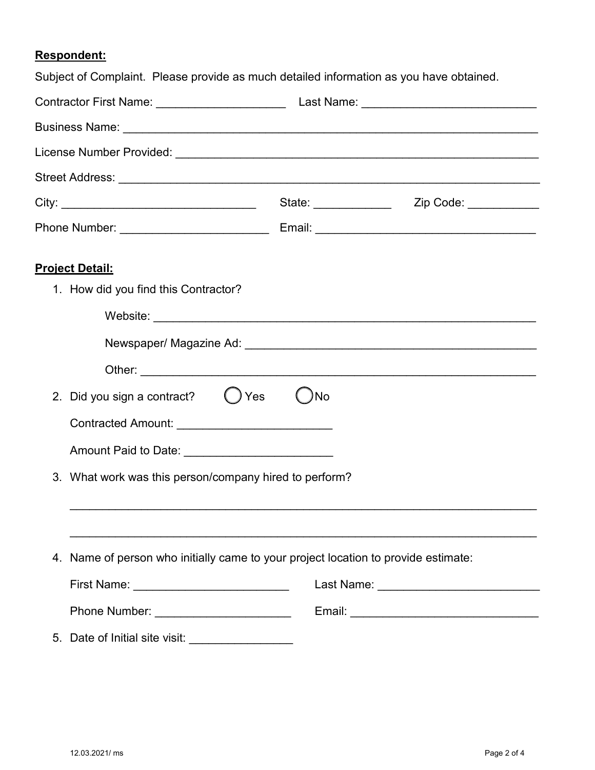### **Respondent:**

|                                                        | Subject of Complaint. Please provide as much detailed information as you have obtained. |  |  |
|--------------------------------------------------------|-----------------------------------------------------------------------------------------|--|--|
|                                                        |                                                                                         |  |  |
|                                                        |                                                                                         |  |  |
|                                                        |                                                                                         |  |  |
|                                                        |                                                                                         |  |  |
|                                                        | State: _______________ Zip Code: ___________                                            |  |  |
|                                                        |                                                                                         |  |  |
| <b>Project Detail:</b>                                 |                                                                                         |  |  |
| 1. How did you find this Contractor?                   |                                                                                         |  |  |
|                                                        |                                                                                         |  |  |
|                                                        |                                                                                         |  |  |
|                                                        |                                                                                         |  |  |
| 2. Did you sign a contract? $\bigcirc$ Yes             | )No                                                                                     |  |  |
|                                                        |                                                                                         |  |  |
| Amount Paid to Date: _____________________________     |                                                                                         |  |  |
| 3. What work was this person/company hired to perform? |                                                                                         |  |  |
|                                                        |                                                                                         |  |  |
|                                                        | 4. Name of person who initially came to your project location to provide estimate:      |  |  |
| First Name: _________________________________          | Last Name: ________________________________                                             |  |  |
|                                                        |                                                                                         |  |  |
| 5. Date of Initial site visit: __________________      |                                                                                         |  |  |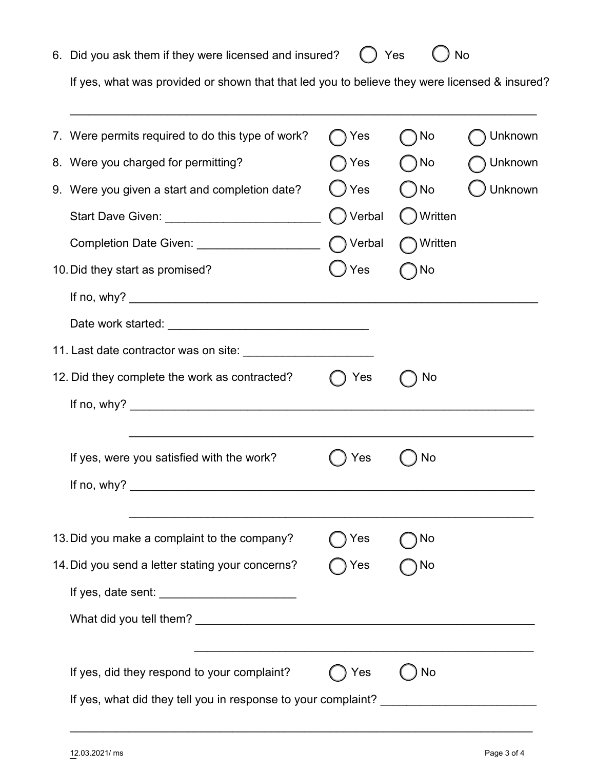| 12.03.2021/ ms<br>$\overline{\phantom{0}}$ |  |  | Page 3 of 4 |
|--------------------------------------------|--|--|-------------|

| 6. Did you ask them if they were licensed and insured? $\bigcirc$ Yes $\bigcirc$ No |  |  |
|-------------------------------------------------------------------------------------|--|--|
|-------------------------------------------------------------------------------------|--|--|

If yes, what was provided or shown that that led you to believe they were licensed & insured?

| 7. Were permits required to do this type of work?                                       | ◯ Yes         | ) No        | Unknown |
|-----------------------------------------------------------------------------------------|---------------|-------------|---------|
| 8. Were you charged for permitting?                                                     | ) Yes         | ) No        | Unknown |
| 9. Were you given a start and completion date?                                          | ◯ Yes         | ) No        | Unknown |
| Start Dave Given: ____________________________                                          | ◯ Verbal      | ( ) Written |         |
| Completion Date Given: ______________________                                           | ◯ Verbal      | ◯ Written   |         |
| 10. Did they start as promised?                                                         | $\bigcup$ Yes | No          |         |
|                                                                                         |               |             |         |
|                                                                                         |               |             |         |
|                                                                                         |               |             |         |
| 12. Did they complete the work as contracted?                                           | )Yes          | No          |         |
|                                                                                         |               |             |         |
| If yes, were you satisfied with the work?                                               | Yes           | No          |         |
|                                                                                         |               |             |         |
| 13. Did you make a complaint to the company?                                            | ) Yes         | ۱No (       |         |
| 14. Did you send a letter stating your concerns?                                        | Yes           | No          |         |
|                                                                                         |               |             |         |
|                                                                                         |               |             |         |
|                                                                                         |               |             |         |
| If yes, did they respond to your complaint?                                             | Yes           | No          |         |
| If yes, what did they tell you in response to your complaint? _________________________ |               |             |         |
|                                                                                         |               |             |         |